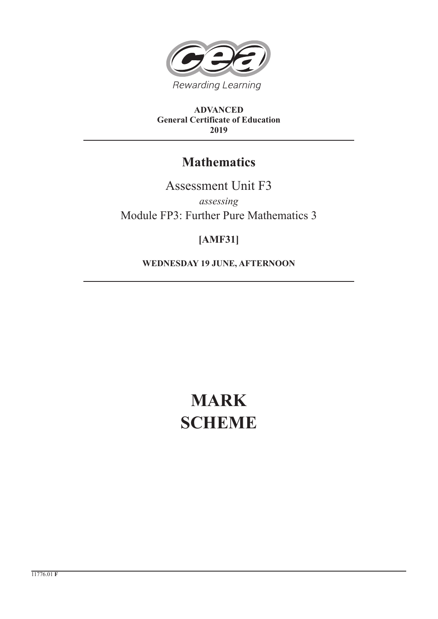

**ADVANCED General Certificate of Education 2019**

# **Mathematics**

Assessment Unit F3

*assessing* Module FP3: Further Pure Mathematics 3

## **[AMF31]**

**WEDNESDAY 19 JUNE, AFTERNOON**

# **MARK SCHEME**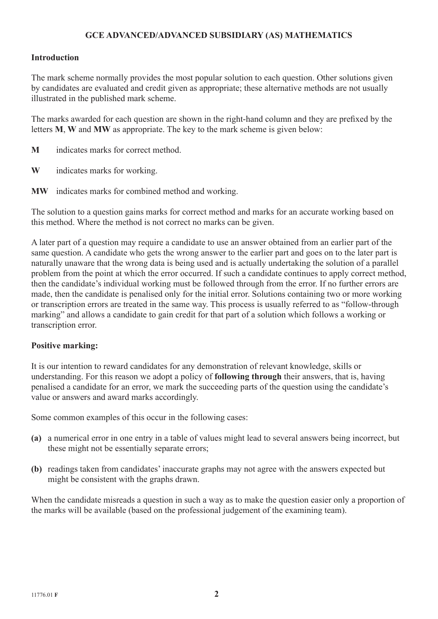## **GCE ADVANCED/ADVANCED SUBSIDIARY (AS) MATHEMATICS**

### **Introduction**

The mark scheme normally provides the most popular solution to each question. Other solutions given by candidates are evaluated and credit given as appropriate; these alternative methods are not usually illustrated in the published mark scheme.

The marks awarded for each question are shown in the right-hand column and they are prefixed by the letters **M**, **W** and **MW** as appropriate. The key to the mark scheme is given below:

- **M** indicates marks for correct method.
- **W** indicates marks for working.
- **MW** indicates marks for combined method and working.

The solution to a question gains marks for correct method and marks for an accurate working based on this method. Where the method is not correct no marks can be given.

A later part of a question may require a candidate to use an answer obtained from an earlier part of the same question. A candidate who gets the wrong answer to the earlier part and goes on to the later part is naturally unaware that the wrong data is being used and is actually undertaking the solution of a parallel problem from the point at which the error occurred. If such a candidate continues to apply correct method, then the candidate's individual working must be followed through from the error. If no further errors are made, then the candidate is penalised only for the initial error. Solutions containing two or more working or transcription errors are treated in the same way. This process is usually referred to as "follow-through marking" and allows a candidate to gain credit for that part of a solution which follows a working or transcription error.

#### **Positive marking:**

It is our intention to reward candidates for any demonstration of relevant knowledge, skills or understanding. For this reason we adopt a policy of **following through** their answers, that is, having penalised a candidate for an error, we mark the succeeding parts of the question using the candidate's value or answers and award marks accordingly.

Some common examples of this occur in the following cases:

- **(a)** a numerical error in one entry in a table of values might lead to several answers being incorrect, but these might not be essentially separate errors;
- **(b)** readings taken from candidates' inaccurate graphs may not agree with the answers expected but might be consistent with the graphs drawn.

When the candidate misreads a question in such a way as to make the question easier only a proportion of the marks will be available (based on the professional judgement of the examining team).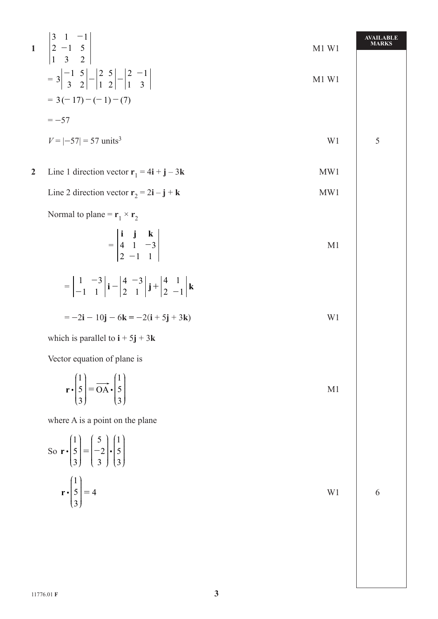1 
$$
\begin{vmatrix} 3 & 1 & -1 \\ 2 & -1 & 5 \\ 1 & 3 & 2 \end{vmatrix}
$$
   
\n=  $3 \begin{vmatrix} -1 & 5 \\ 3 & 2 \end{vmatrix} - \begin{vmatrix} 2 & 5 \\ 1 & 2 \end{vmatrix} - \begin{vmatrix} 2 & -1 \\ 1 & 3 \end{vmatrix}$    
\n=  $3(-17) - (-1) - (7)$   
\n=  $-57$   
\n $V = [-57] = 57$  units<sup>3</sup>   
\n1.5  
\n2 Line 1 direction vector  $\mathbf{r}_1 = 4\mathbf{i} + \mathbf{j} - 3\mathbf{k}$    
\n1.5  
\n1.6  
\n1.7  
\n1.7  
\n1.7  
\n1.7  
\n1.7  
\n1.7  
\n2. Line 1 direction vector  $\mathbf{r}_1 = 4\mathbf{i} + \mathbf{j} - 3\mathbf{k}$    
\n1.7  
\n1.7  
\n1.7  
\n1.7  
\n1.7  
\n1.7  
\n1.7  
\n1.7  
\n1.7  
\n1.7  
\n1.7  
\n1.7  
\n1.7  
\n1.7  
\n1.7  
\n1.7  
\n1.7  
\n1.7  
\n1.7  
\n1.7  
\n1.7  
\n1.7  
\n1.7  
\n1.7  
\n1.7  
\n1.7  
\n1.7  
\n1.7  
\n1.7  
\n1.7  
\n1.7  
\n1.7  
\n1.7  
\n1.7  
\n1.7  
\n1.7  
\n1.7  
\n1.7  
\n1.7  
\n1.7  
\n1.7  
\n1.7  
\n1.7  
\n1.7  
\n1.7  
\n1.7  
\n1.7  
\n1.7  
\n1.7  
\n1.7  
\n1.7  
\n1.7  
\n1.7  
\n1.7  
\n1.7  
\n1.7  
\n1.7  
\n1.7  
\n1.7  
\n1.7  
\n1.7  
\n1.7  
\n1.7  
\n1.7  
\n1.7  
\n1.7  
\n1.7  
\n1.7  
\n1.7  
\n1.7  
\n1.7  
\n1.7  
\n1.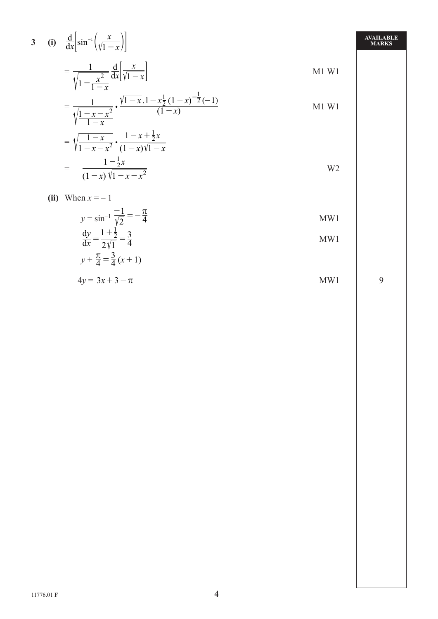3 (i) 
$$
\frac{d}{dx} \left[ \sin^{-1} \left( \frac{x}{\sqrt{1-x}} \right) \right]
$$

$$
= \frac{1}{\sqrt{1-x}} \frac{d}{dx} \left[ \frac{x}{\sqrt{1-x}} \right]
$$

$$
= \frac{1}{\sqrt{1 - \frac{x^2}{1 - x}}} \frac{d}{dx} \left[ \frac{x}{\sqrt{1 - x}} \right]
$$

$$
= \frac{1}{\sqrt{\frac{1-x-x^2}{1-x}}} \cdot \frac{\sqrt{1-x} \cdot 1 - x \cdot \frac{1}{2} (1-x)^{-\frac{1}{2}} (-1)}{(1-x)}
$$
 M1 W1

$$
= \sqrt{\frac{1-x}{1-x-x^2}} \cdot \frac{1-x+\frac{1}{2}x}{(1-x)\sqrt{1-x}}
$$
  
= 
$$
\frac{1-\frac{1}{2}x}{(1-x)\sqrt{1-x-x^2}}
$$

$$
(ii) \quad \text{When } x = -1
$$

$$
y = \sin^{-1} \frac{-1}{\sqrt{2}} = -\frac{\pi}{4}
$$
  
\n
$$
\frac{dy}{dx} = \frac{1 + \frac{1}{2}}{2\sqrt{1}} = \frac{3}{4}
$$
  
\n
$$
y + \frac{\pi}{4} = \frac{3}{4}(x + 1)
$$
  
\nMW1  
\nMW1

$$
4y = 3x + 3 - \pi
$$
 MW1

9

AVAILABLE<br>MARKS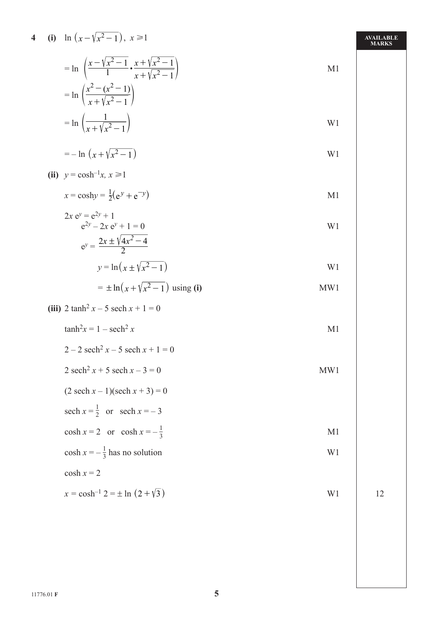4 (i) 
$$
\ln (x - \sqrt{x^2 - 1}), x \ge 1
$$
  
=  $\ln \left( \frac{x - \sqrt{x^2 - 1}}{1} \cdot \frac{x + \sqrt{x^2 - 1}}{x + \sqrt{x^2 - 1}} \right)$ 

$$
= \ln \left( \frac{x^2 - (x^2 - 1)}{x + \sqrt{x^2 - 1}} \right)
$$
  
= 
$$
\ln \left( \frac{1}{x + \sqrt{x^2 - 1}} \right)
$$

$$
=-\ln\left(x+\sqrt{x^2-1}\right)
$$
 W1

$$
(ii) \ \ y = \cosh^{-1}x, \ x \ge 1
$$

 $x = \cosh y = \frac{1}{2}(e^y + e^{-y})$  $M1$ 

$$
2x ey = e2y + 1e2y - 2x ey + 1 = 0ey = \frac{2x \pm \sqrt{4x^2 - 4}}{2}
$$

$$
y = \ln\left(x \pm \sqrt{x^2 - 1}\right)
$$

$$
= \pm \ln(x + \sqrt{x^2 - 1}) \text{ using (i)}
$$
 MW1

(iii) 
$$
2 \tanh^2 x - 5 \sech x + 1 = 0
$$
  
 $\tanh^2 x = 1 - \sech^2 x$ 

$$
2 - 2 \, \text{sech}^2 x - 5 \, \text{sech} \, x + 1 = 0
$$

$$
2 \operatorname{sech}^2 x + 5 \operatorname{sech} x - 3 = 0
$$
 MW1

$$
(2 \operatorname{sech} x - 1)(\operatorname{sech} x + 3) = 0
$$

sech 
$$
x = \frac{1}{2}
$$
 or sech  $x = -3$ 

$$
\cosh x = 2 \quad \text{or} \quad \cosh x = -\frac{1}{3}
$$

$$
\cosh x = -\frac{1}{3} \text{ has no solution}
$$

$$
\cosh x = 2
$$

$$
x = \cosh^{-1} 2 = \pm \ln (2 + \sqrt{3})
$$

AVAILABLE<br>MARKS

 $M1$ 

W1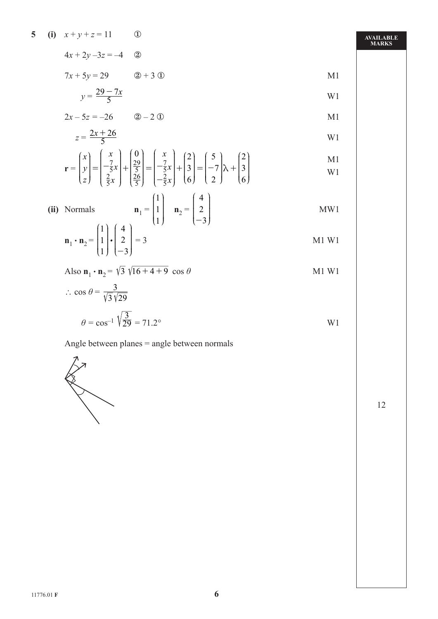5 (i) 
$$
x+y+z=11
$$
 ①  
  $4x + 2y - 3z = -4$  ②

$$
7x + 5y = 29
$$
  $2 + 3$   $2x + 3$   $2x + 5y = 29$   $2x + 3$ 

$$
y = \frac{29 - 7x}{5}
$$

$$
2x - 5z = -26 \t\t 20 - 20 \t\t M1
$$

$$
z = \frac{2x + 26}{5}
$$

$$
\mathbf{r} = \begin{pmatrix} x \\ y \\ z \end{pmatrix} = \begin{pmatrix} x \\ -\frac{7}{5}x \\ \frac{2}{5}x \end{pmatrix} + \begin{pmatrix} 0 \\ \frac{29}{5} \\ \frac{26}{5} \end{pmatrix} = \begin{pmatrix} x \\ -\frac{7}{5}x \\ -\frac{2}{5}x \end{pmatrix} + \begin{pmatrix} 2 \\ 3 \\ 6 \end{pmatrix} = \begin{pmatrix} 5 \\ -7 \\ 2 \end{pmatrix} \lambda + \begin{pmatrix} 2 \\ 3 \\ 6 \end{pmatrix}
$$

(ii) Normals 
$$
\mathbf{n}_1 = \begin{pmatrix} 1 \\ 1 \\ 1 \end{pmatrix} \quad \mathbf{n}_2 = \begin{pmatrix} 4 \\ 2 \\ -3 \end{pmatrix}
$$
 MW1

$$
\mathbf{n}_1 \cdot \mathbf{n}_2 = \begin{pmatrix} 1 \\ 1 \\ 1 \end{pmatrix} \cdot \begin{pmatrix} 4 \\ 2 \\ -3 \end{pmatrix} = 3
$$
 M1 W1

Also  $\mathbf{n}_1 \cdot \mathbf{n}_2 = \sqrt{3} \sqrt{16 + 4 + 9} \cos \theta$  M1 W1

$$
\therefore \cos \theta = \frac{3}{\sqrt{3}\sqrt{29}}
$$

$$
\theta = \cos^{-1} \sqrt{\frac{3}{29}} = 71.2^{\circ}
$$

Angle between planes = angle between normals



**AVAILABLE MARKS**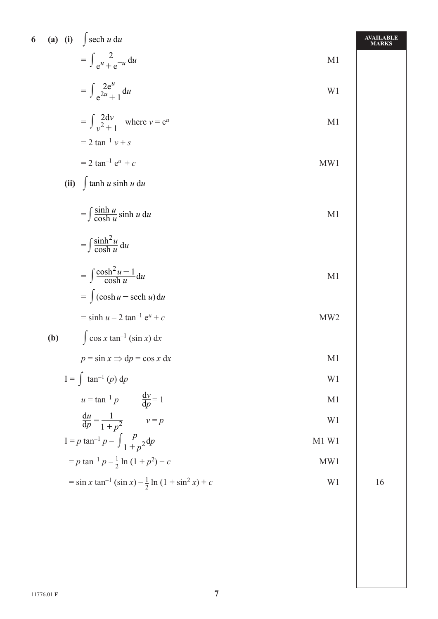| 6 (a) (i) $\int$ sech u du                                                         |                 | AVAILABLE<br><b>MARKS</b> |
|------------------------------------------------------------------------------------|-----------------|---------------------------|
| $= \int \frac{2}{e^u + e^{-u}} du$                                                 | M1              |                           |
| $= \int \frac{2e^u}{e^{2u}+1} du$                                                  | W <sub>1</sub>  |                           |
| $=\int \frac{2dv}{v^2+1}$ where $v = e^u$                                          | M <sub>1</sub>  |                           |
| $= 2 \tan^{-1} v + s$                                                              |                 |                           |
| $= 2 \tan^{-1} e^{u} + c$                                                          | MW1             |                           |
| (ii) $\int \tanh u \sinh u \, du$                                                  |                 |                           |
| $=\int \frac{\sinh u}{\cosh u} \sinh u \, du$                                      | M <sub>1</sub>  |                           |
| $=\int \frac{\sinh^2 u}{\cosh u} du$                                               |                 |                           |
| $= \int \frac{\cosh^2 u - 1}{\cosh u} \mathrm{d}u$                                 | M <sub>1</sub>  |                           |
| $= \int (\cosh u - \operatorname{sech} u) du$                                      |                 |                           |
| $=$ sinh $u - 2$ tan <sup>-1</sup> $e^u$ + c                                       | MW <sub>2</sub> |                           |
| $\int$ cos x tan <sup>-1</sup> (sin x) dx<br>(b)                                   |                 |                           |
| $p = \sin x \implies dp = \cos x dx$                                               | M1              |                           |
| $I = \int \tan^{-1}(p) dp$                                                         | W1              |                           |
| $u = \tan^{-1} p$ $\frac{dv}{dp} = 1$                                              | M <sub>1</sub>  |                           |
| $\frac{du}{dp} = \frac{1}{1+p^2}$ $v = p$                                          | W <sub>1</sub>  |                           |
| $I = p \tan^{-1} p - \int \frac{p}{1 + p^2} dp$                                    | M1 W1           |                           |
| $= p \tan^{-1} p - \frac{1}{2} \ln (1 + p^2) + c$                                  | MW1             |                           |
| $=$ sin x tan <sup>-1</sup> (sin x) $-\frac{1}{2}$ ln (1 + sin <sup>2</sup> x) + c | W1              | 16                        |
|                                                                                    |                 |                           |